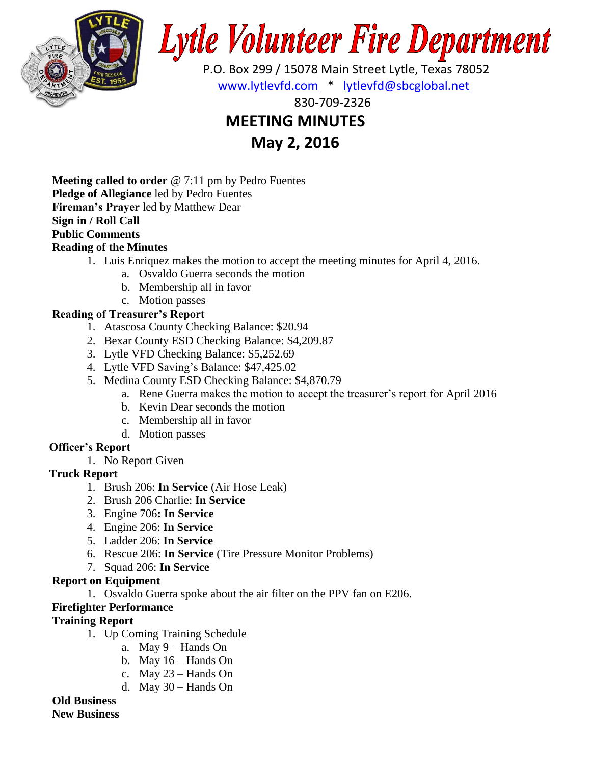

# **Lytle Volunteer Fire Department**

 P.O. Box 299 / 15078 Main Street Lytle, Texas 78052 [www.lytlevfd.com](http://www.lytlevfd.com/) \* [lytlevfd@sbcglobal.net](mailto:lytlevfd@sbcglobal.net)

830-709-2326

## **MEETING MINUTES**

**May 2, 2016**

**Meeting called to order** @ 7:11 pm by Pedro Fuentes **Pledge of Allegiance** led by Pedro Fuentes **Fireman's Prayer** led by Matthew Dear **Sign in / Roll Call Public Comments**

#### **Reading of the Minutes**

- 1. Luis Enriquez makes the motion to accept the meeting minutes for April 4, 2016.
	- a. Osvaldo Guerra seconds the motion
	- b. Membership all in favor
	- c. Motion passes

### **Reading of Treasurer's Report**

- 1. Atascosa County Checking Balance: \$20.94
- 2. Bexar County ESD Checking Balance: \$4,209.87
- 3. Lytle VFD Checking Balance: \$5,252.69
- 4. Lytle VFD Saving's Balance: \$47,425.02
- 5. Medina County ESD Checking Balance: \$4,870.79
	- a. Rene Guerra makes the motion to accept the treasurer's report for April 2016
	- b. Kevin Dear seconds the motion
	- c. Membership all in favor
	- d. Motion passes

#### **Officer's Report**

1. No Report Given

#### **Truck Report**

- 1. Brush 206: **In Service** (Air Hose Leak)
- 2. Brush 206 Charlie: **In Service**
- 3. Engine 706**: In Service**
- 4. Engine 206: **In Service**
- 5. Ladder 206: **In Service**
- 6. Rescue 206: **In Service** (Tire Pressure Monitor Problems)
- 7. Squad 206: **In Service**

#### **Report on Equipment**

1. Osvaldo Guerra spoke about the air filter on the PPV fan on E206.

#### **Firefighter Performance**

#### **Training Report**

- 1. Up Coming Training Schedule
	- a. May 9 Hands On
	- b. May 16 Hands On
	- c. May 23 Hands On
	- d. May 30 Hands On

#### **Old Business**

**New Business**